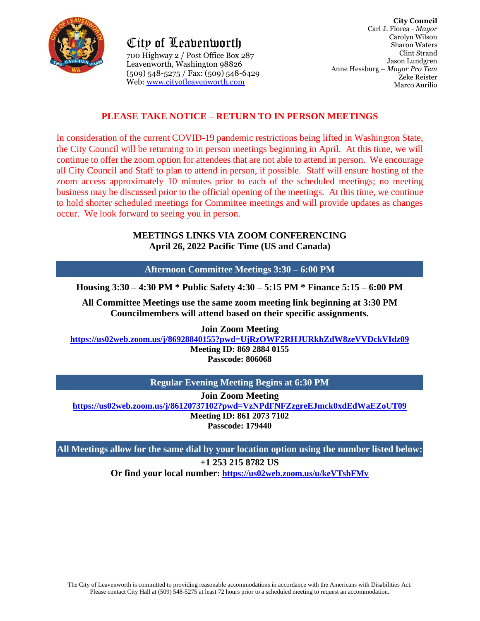

City of Leavenworth 700 Highway 2 / Post Office Box 287 Leavenworth, Washington 98826 (509) 548-5275 / Fax: (509) 548-6429 Web: [www.cityofleavenworth.com](http://www.cityofleavenworth.com/)

### **PLEASE TAKE NOTICE – RETURN TO IN PERSON MEETINGS**

In consideration of the current COVID-19 pandemic restrictions being lifted in Washington State, the City Council will be returning to in person meetings beginning in April. At this time, we will continue to offer the zoom option for attendees that are not able to attend in person. We encourage all City Council and Staff to plan to attend in person, if possible. Staff will ensure hosting of the zoom access approximately 10 minutes prior to each of the scheduled meetings; no meeting business may be discussed prior to the official opening of the meetings. At this time, we continue to hold shorter scheduled meetings for Committee meetings and will provide updates as changes occur. We look forward to seeing you in person.

#### **MEETINGS LINKS VIA ZOOM CONFERENCING April 26, 2022 Pacific Time (US and Canada)**

**Afternoon Committee Meetings 3:30 – 6:00 PM**

**Housing 3:30 – 4:30 PM \* Public Safety 4:30 – 5:15 PM \* Finance 5:15 – 6:00 PM**

**All Committee Meetings use the same zoom meeting link beginning at 3:30 PM Councilmembers will attend based on their specific assignments.**

**Join Zoom Meeting**

**<https://us02web.zoom.us/j/86928840155?pwd=UjRzOWF2RHJURkhZdW8zeVVDckVIdz09>**

**Meeting ID: 869 2884 0155 Passcode: 806068**

**Regular Evening Meeting Begins at 6:30 PM**

**Join Zoom Meeting**

**<https://us02web.zoom.us/j/86120737102?pwd=VzNPdFNFZzgreEJmck0xdEdWaEZoUT09> Meeting ID: 861 2073 7102**

**Passcode: 179440**

**All Meetings allow for the same dial by your location option using the number listed below: +1 253 215 8782 US**

**Or find your local number:<https://us02web.zoom.us/u/keVTshFMv>**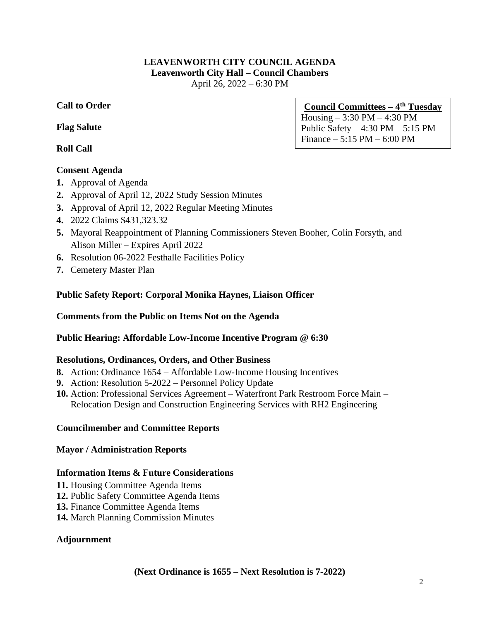#### **LEAVENWORTH CITY COUNCIL AGENDA Leavenworth City Hall – Council Chambers** April 26, 2022 – 6:30 PM

### **Call to Order**

#### **Flag Salute**

**Roll Call**

### **Consent Agenda**

- **1.** Approval of Agenda
- **2.** Approval of April 12, 2022 Study Session Minutes
- **3.** Approval of April 12, 2022 Regular Meeting Minutes
- **4.** 2022 Claims \$431,323.32
- **5.** Mayoral Reappointment of Planning Commissioners Steven Booher, Colin Forsyth, and Alison Miller – Expires April 2022
- **6.** Resolution 06-2022 Festhalle Facilities Policy
- **7.** Cemetery Master Plan

### **Public Safety Report: Corporal Monika Haynes, Liaison Officer**

### **Comments from the Public on Items Not on the Agenda**

### **Public Hearing: Affordable Low-Income Incentive Program @ 6:30**

### **Resolutions, Ordinances, Orders, and Other Business**

- **8.** Action: Ordinance 1654 Affordable Low-Income Housing Incentives
- **9.** Action: Resolution 5-2022 Personnel Policy Update
- **10.** Action: Professional Services Agreement Waterfront Park Restroom Force Main Relocation Design and Construction Engineering Services with RH2 Engineering

### **Councilmember and Committee Reports**

#### **Mayor / Administration Reports**

### **Information Items & Future Considerations**

- **11.** Housing Committee Agenda Items
- **12.** Public Safety Committee Agenda Items
- **13.** Finance Committee Agenda Items
- **14.** March Planning Commission Minutes

### **Adjournment**

# **Council Committees – 4 th Tuesday**

Housing – 3:30 PM – 4:30 PM Public Safety  $-4:30$  PM  $-5:15$  PM Finance – 5:15 PM – 6:00 PM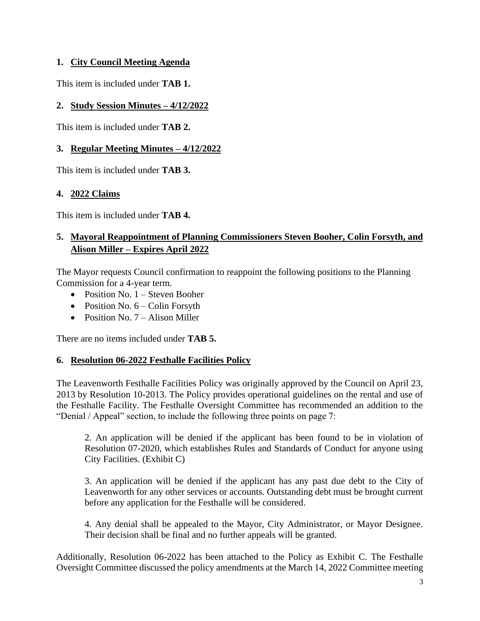### **1. City Council Meeting Agenda**

This item is included under **TAB 1.**

### **2. Study Session Minutes – 4/12/2022**

This item is included under **TAB 2.** 

## **3. Regular Meeting Minutes – 4/12/2022**

This item is included under **TAB 3.**

### **4. 2022 Claims**

This item is included under **TAB 4.**

# **5. Mayoral Reappointment of Planning Commissioners Steven Booher, Colin Forsyth, and Alison Miller – Expires April 2022**

The Mayor requests Council confirmation to reappoint the following positions to the Planning Commission for a 4-year term.

- Position No. 1 Steven Booher
- Position No.  $6 -$ Colin Forsyth
- Position No. 7 Alison Miller

There are no items included under **TAB 5.**

### **6. Resolution 06-2022 Festhalle Facilities Policy**

The Leavenworth Festhalle Facilities Policy was originally approved by the Council on April 23, 2013 by Resolution 10-2013. The Policy provides operational guidelines on the rental and use of the Festhalle Facility. The Festhalle Oversight Committee has recommended an addition to the "Denial / Appeal" section, to include the following three points on page 7:

2. An application will be denied if the applicant has been found to be in violation of Resolution 07-2020, which establishes Rules and Standards of Conduct for anyone using City Facilities. (Exhibit C)

3. An application will be denied if the applicant has any past due debt to the City of Leavenworth for any other services or accounts. Outstanding debt must be brought current before any application for the Festhalle will be considered.

4. Any denial shall be appealed to the Mayor, City Administrator, or Mayor Designee. Their decision shall be final and no further appeals will be granted.

Additionally, Resolution 06-2022 has been attached to the Policy as Exhibit C. The Festhalle Oversight Committee discussed the policy amendments at the March 14, 2022 Committee meeting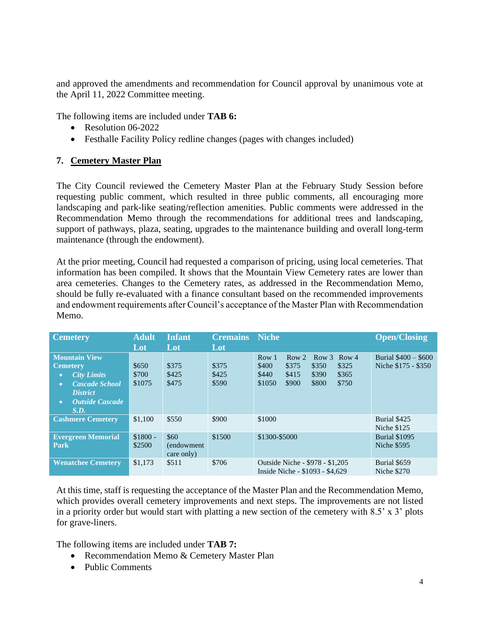and approved the amendments and recommendation for Council approval by unanimous vote at the April 11, 2022 Committee meeting.

The following items are included under **TAB 6:**

- Resolution 06-2022
- Festhalle Facility Policy redline changes (pages with changes included)

### **7. Cemetery Master Plan**

The City Council reviewed the Cemetery Master Plan at the February Study Session before requesting public comment, which resulted in three public comments, all encouraging more landscaping and park-like seating/reflection amenities. Public comments were addressed in the Recommendation Memo through the recommendations for additional trees and landscaping, support of pathways, plaza, seating, upgrades to the maintenance building and overall long-term maintenance (through the endowment).

At the prior meeting, Council had requested a comparison of pricing, using local cemeteries. That information has been compiled. It shows that the Mountain View Cemetery rates are lower than area cemeteries. Changes to the Cemetery rates, as addressed in the Recommendation Memo, should be fully re-evaluated with a finance consultant based on the recommended improvements and endowment requirements after Council's acceptance of the Master Plan with Recommendation Memo.

| <b>Cemetery</b>                                                                                                                                                                                                                                                                                                                     | <b>Adult</b>             | <b>Infant</b>                    | <b>Cremains</b>         | <b>Niche</b>                                                                                                                                                                   | <b>Open/Closing</b>                         |  |
|-------------------------------------------------------------------------------------------------------------------------------------------------------------------------------------------------------------------------------------------------------------------------------------------------------------------------------------|--------------------------|----------------------------------|-------------------------|--------------------------------------------------------------------------------------------------------------------------------------------------------------------------------|---------------------------------------------|--|
|                                                                                                                                                                                                                                                                                                                                     | Lot                      | Lot                              | Lot                     |                                                                                                                                                                                |                                             |  |
| <b>Mountain View</b><br><b>Cemetery</b><br><b>City Limits</b><br>$\bullet$<br><b>Cascade School</b><br>$\bullet$<br><b>District</b><br><b>Outside Cascade</b><br>$\bullet$<br>S.D.                                                                                                                                                  | \$650<br>\$700<br>\$1075 | \$375<br>\$425<br>\$475          | \$375<br>\$425<br>\$590 | Row 1<br>Row <sub>2</sub><br>Row <sub>3</sub><br>Row <sub>4</sub><br>\$400<br>\$375<br>\$350<br>\$325<br>\$415<br>\$365<br>\$440<br>\$390<br>\$1050<br>\$900<br>\$800<br>\$750 | Burial $$400 - $600$<br>Niche \$175 - \$350 |  |
| <b>Cashmere Cemetery</b>                                                                                                                                                                                                                                                                                                            | \$1,100                  | \$550                            | \$900                   | \$1000                                                                                                                                                                         | Burial \$425<br>Niche \$125                 |  |
| <b>Evergreen Memorial</b><br>Park                                                                                                                                                                                                                                                                                                   | $$1800 -$<br>\$2500      | \$60<br>(endowment<br>care only) | \$1500                  | \$1300-\$5000                                                                                                                                                                  | <b>Burial \$1095</b><br><b>Niche \$595</b>  |  |
| <b>Wenatchee Cemetery</b>                                                                                                                                                                                                                                                                                                           | \$1,173                  | \$511                            | \$706                   | Outside Niche - \$978 - \$1,205<br>Inside Niche - \$1093 - \$4,629                                                                                                             | Burial \$659<br><b>Niche \$270</b>          |  |
| At this time, staff is requesting the acceptance of the Master Plan and the Recommendation Memo,<br>which provides overall cemetery improvements and next steps. The improvements are not listed<br>in a priority order but would start with platting a new section of the cemetery with $8.5$ ' x $3$ ' plots<br>for grave-liners. |                          |                                  |                         |                                                                                                                                                                                |                                             |  |
| The following items are included under <b>TAB 7:</b><br>Recommendation Memo & Cemetery Master Plan<br>$\bullet$<br><b>Public Comments</b><br>$\bullet$                                                                                                                                                                              |                          |                                  |                         |                                                                                                                                                                                |                                             |  |

- Recommendation Memo & Cemetery Master Plan
-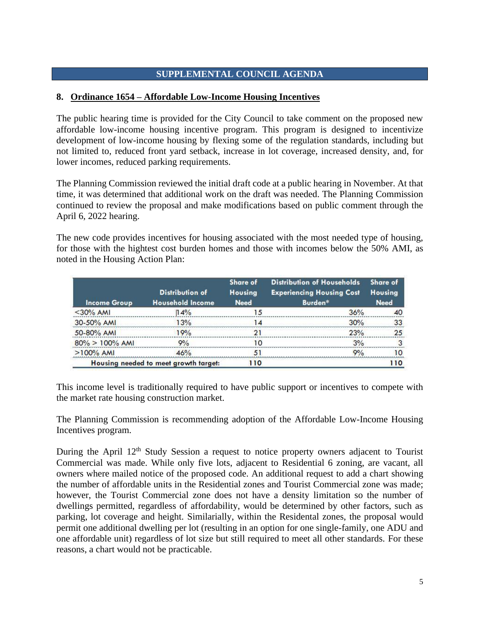### **SUPPLEMENTAL COUNCIL AGENDA**

### **8. Ordinance 1654 – Affordable Low-Income Housing Incentives**

The public hearing time is provided for the City Council to take comment on the proposed new affordable low-income housing incentive program. This program is designed to incentivize development of low-income housing by flexing some of the regulation standards, including but not limited to, reduced front yard setback, increase in lot coverage, increased density, and, for lower incomes, reduced parking requirements.

The Planning Commission reviewed the initial draft code at a public hearing in November. At that time, it was determined that additional work on the draft was needed. The Planning Commission continued to review the proposal and make modifications based on public comment through the April 6, 2022 hearing.

The new code provides incentives for housing associated with the most needed type of housing, for those with the hightest cost burden homes and those with incomes below the 50% AMI, as noted in the Housing Action Plan:

| <b>Income Group</b> | <b>Distribution of</b><br><b>Household Income</b> | Share of<br><b>Housing</b><br><b>Need</b> | <b>Distribution of Households</b><br><b>Experiencing Housing Cost</b><br>Burden* | Share of<br><b>Housing</b><br><b>Need</b> |
|---------------------|---------------------------------------------------|-------------------------------------------|----------------------------------------------------------------------------------|-------------------------------------------|
| $<$ 30% AMI         | 14%                                               | 15                                        | 36%                                                                              | 40                                        |
| 30-50% AMI          | 13%                                               | 14                                        | 30%                                                                              | 33                                        |
| 50-80% AMI          | 19%                                               | 21                                        | 23%                                                                              | 25                                        |
| $80\% > 100\%$ AMI  | 9%                                                | 10                                        | 3%                                                                               |                                           |
| $>100\%$ AMI        | 46%                                               | 51                                        | Q <sub>0</sub>                                                                   | 10.                                       |
|                     | Housing needed to meet growth target:             | 110                                       |                                                                                  | 110                                       |

This income level is traditionally required to have public support or incentives to compete with the market rate housing construction market.

The Planning Commission is recommending adoption of the Affordable Low-Income Housing Incentives program.

During the April 12<sup>th</sup> Study Session a request to notice property owners adjacent to Tourist Commercial was made. While only five lots, adjacent to Residential 6 zoning, are vacant, all owners where mailed notice of the proposed code. An additional request to add a chart showing the number of affordable units in the Residential zones and Tourist Commercial zone was made; however, the Tourist Commercial zone does not have a density limitation so the number of dwellings permitted, regardless of affordability, would be determined by other factors, such as parking, lot coverage and height. Similarially, within the Residental zones, the proposal would permit one additional dwelling per lot (resulting in an option for one single-family, one ADU and one affordable unit) regardless of lot size but still required to meet all other standards. For these reasons, a chart would not be practicable.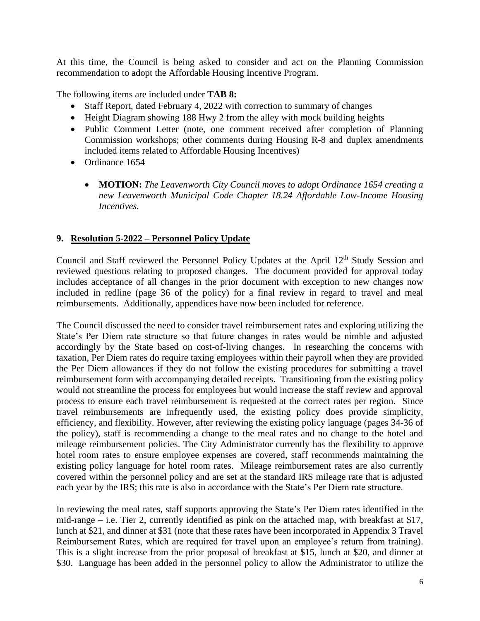At this time, the Council is being asked to consider and act on the Planning Commission recommendation to adopt the Affordable Housing Incentive Program.

The following items are included under **TAB 8:**

- Staff Report, dated February 4, 2022 with correction to summary of changes
- Height Diagram showing 188 Hwy 2 from the alley with mock building heights
- Public Comment Letter (note, one comment received after completion of Planning Commission workshops; other comments during Housing R-8 and duplex amendments included items related to Affordable Housing Incentives)
- Ordinance 1654
	- **MOTION:** *The Leavenworth City Council moves to adopt Ordinance 1654 creating a new Leavenworth Municipal Code Chapter 18.24 Affordable Low-Income Housing Incentives.*

### **9. Resolution 5-2022 – Personnel Policy Update**

Council and Staff reviewed the Personnel Policy Updates at the April 12<sup>th</sup> Study Session and reviewed questions relating to proposed changes. The document provided for approval today includes acceptance of all changes in the prior document with exception to new changes now included in redline (page 36 of the policy) for a final review in regard to travel and meal reimbursements. Additionally, appendices have now been included for reference.

The Council discussed the need to consider travel reimbursement rates and exploring utilizing the State's Per Diem rate structure so that future changes in rates would be nimble and adjusted accordingly by the State based on cost-of-living changes. In researching the concerns with taxation, Per Diem rates do require taxing employees within their payroll when they are provided the Per Diem allowances if they do not follow the existing procedures for submitting a travel reimbursement form with accompanying detailed receipts. Transitioning from the existing policy would not streamline the process for employees but would increase the staff review and approval process to ensure each travel reimbursement is requested at the correct rates per region. Since travel reimbursements are infrequently used, the existing policy does provide simplicity, efficiency, and flexibility. However, after reviewing the existing policy language (pages 34-36 of the policy), staff is recommending a change to the meal rates and no change to the hotel and mileage reimbursement policies. The City Administrator currently has the flexibility to approve hotel room rates to ensure employee expenses are covered, staff recommends maintaining the existing policy language for hotel room rates. Mileage reimbursement rates are also currently covered within the personnel policy and are set at the standard IRS mileage rate that is adjusted each year by the IRS; this rate is also in accordance with the State's Per Diem rate structure.

In reviewing the meal rates, staff supports approving the State's Per Diem rates identified in the mid-range – i.e. Tier 2, currently identified as pink on the attached map, with breakfast at \$17, lunch at \$21, and dinner at \$31 (note that these rates have been incorporated in Appendix 3 Travel Reimbursement Rates, which are required for travel upon an employee's return from training). This is a slight increase from the prior proposal of breakfast at \$15, lunch at \$20, and dinner at \$30. Language has been added in the personnel policy to allow the Administrator to utilize the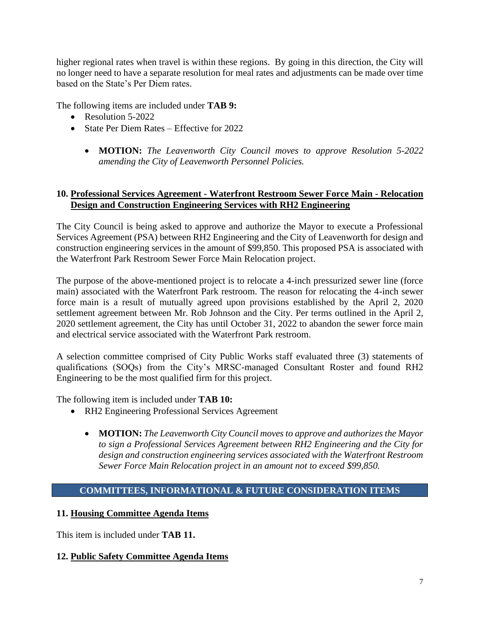higher regional rates when travel is within these regions. By going in this direction, the City will no longer need to have a separate resolution for meal rates and adjustments can be made over time based on the State's Per Diem rates.

The following items are included under **TAB 9:**

- Resolution 5-2022
- State Per Diem Rates Effective for 2022
	- **MOTION:** *The Leavenworth City Council moves to approve Resolution 5-2022 amending the City of Leavenworth Personnel Policies.*

### **10. Professional Services Agreement - Waterfront Restroom Sewer Force Main - Relocation Design and Construction Engineering Services with RH2 Engineering**

The City Council is being asked to approve and authorize the Mayor to execute a Professional Services Agreement (PSA) between RH2 Engineering and the City of Leavenworth for design and construction engineering services in the amount of \$99,850. This proposed PSA is associated with the Waterfront Park Restroom Sewer Force Main Relocation project.

The purpose of the above-mentioned project is to relocate a 4-inch pressurized sewer line (force main) associated with the Waterfront Park restroom. The reason for relocating the 4-inch sewer force main is a result of mutually agreed upon provisions established by the April 2, 2020 settlement agreement between Mr. Rob Johnson and the City. Per terms outlined in the April 2, 2020 settlement agreement, the City has until October 31, 2022 to abandon the sewer force main and electrical service associated with the Waterfront Park restroom.

A selection committee comprised of City Public Works staff evaluated three (3) statements of qualifications (SOQs) from the City's MRSC-managed Consultant Roster and found RH2 Engineering to be the most qualified firm for this project.

The following item is included under **TAB 10:**

- RH2 Engineering Professional Services Agreement
	- **MOTION:** *The Leavenworth City Council moves to approve and authorizes the Mayor to sign a Professional Services Agreement between RH2 Engineering and the City for design and construction engineering services associated with the Waterfront Restroom Sewer Force Main Relocation project in an amount not to exceed \$99,850.*

# **COMMITTEES, INFORMATIONAL & FUTURE CONSIDERATION ITEMS**

### **11. Housing Committee Agenda Items**

This item is included under **TAB 11.**

### **12. Public Safety Committee Agenda Items**